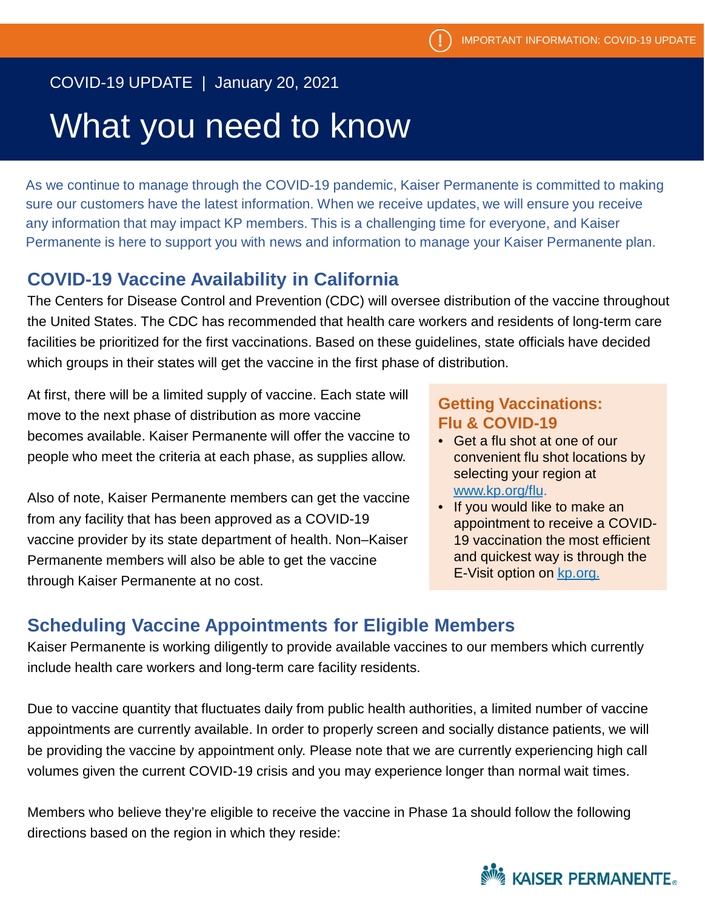### COVID-19 UPDATE | January 20, 2021

## What you need to know

As we continue to manage through the COVID-19 pandemic, Kaiser Permanente is committed to making sure our customers have the latest information. When we receive updates, we will ensure you receive any information that may impact KP members. This is a challenging time for everyone, and Kaiser Permanente is here to support you with news and information to manage your Kaiser Permanente plan.

#### **COVID-19 Vaccine Availability in California**

The Centers for Disease Control and Prevention (CDC) will oversee distribution of the vaccine throughout the United States. The CDC has recommended that health care workers and residents of long-term care facilities be prioritized for the first vaccinations. Based on these guidelines, state officials have decided which groups in their states will get the vaccine in the first phase of distribution.

At first, there will be a limited supply of vaccine. Each state will move to the next phase of distribution as more vaccine becomes available. Kaiser Permanente will offer the vaccine to people who meet the criteria at each phase, as supplies allow.

Also of note, Kaiser Permanente members can get the vaccine from any facility that has been approved as a COVID-19 vaccine provider by its state department of health. Non–Kaiser Permanente members will also be able to get the vaccine through Kaiser Permanente at no cost.

#### **Getting Vaccinations: Flu & COVID-19**

- Get a flu shot at one of our convenient flu shot locations by selecting your region at [www.kp.org/flu](http://www.kp.org/flu).
- If you would like to make an appointment to receive a COVID-19 vaccination the most efficient and quickest way is through the E-Visit option on [kp.org.](https://healthy.kaiserpermanente.org/health-wellness/coronavirus-information/covid-vaccine)

### **Scheduling Vaccine Appointments for Eligible Members**

Kaiser Permanente is working diligently to provide available vaccines to our members which currently include health care workers and long-term care facility residents.

Due to vaccine quantity that fluctuates daily from public health authorities, a limited number of vaccine appointments are currently available. In order to properly screen and socially distance patients, we will be providing the vaccine by appointment only. Please note that we are currently experiencing high call volumes given the current COVID-19 crisis and you may experience longer than normal wait times.

Members who believe they're eligible to receive the vaccine in Phase 1a should follow the following directions based on the region in which they reside: